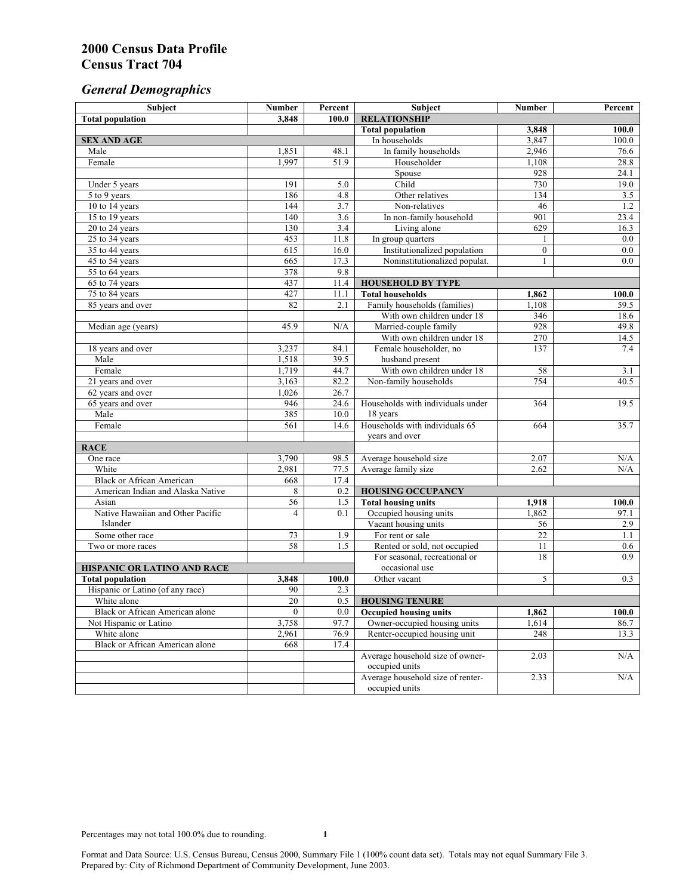# *General Demographics*

| Subject                           | <b>Number</b>   | Percent          | Subject                                                 | <b>Number</b>  | Percent            |
|-----------------------------------|-----------------|------------------|---------------------------------------------------------|----------------|--------------------|
| <b>Total population</b>           | 3,848           | 100.0            | <b>RELATIONSHIP</b>                                     |                |                    |
|                                   |                 |                  | <b>Total population</b>                                 | 3,848          | $\overline{100.0}$ |
| <b>SEX AND AGE</b>                |                 |                  | In households                                           | 3,847          | 100.0              |
| Male                              | 1,851           | 48.1             | In family households                                    | 2,946          | 76.6               |
| Female                            | 1.997           | 51.9             | Householder                                             | 1,108          | 28.8               |
|                                   |                 |                  | Spouse                                                  | 928            | 24.1               |
| Under 5 years                     | 191             | 5.0              | Child                                                   | 730            | 19.0               |
| 5 to 9 years                      | 186             | $\overline{4.8}$ | Other relatives                                         | 134            | 3.5                |
| 10 to 14 years                    | 144             | 3.7              | Non-relatives                                           | 46             | 1.2                |
| 15 to 19 years                    | 140             | 3.6              | In non-family household                                 | 901            | 23.4               |
| 20 to 24 years                    | 130             | 3.4              | Living alone                                            | 629            | 16.3               |
| $25 \text{ to } 34$ years         | 453             | 11.8             | In group quarters                                       | 1              | 0.0                |
| 35 to 44 years                    | 615             | 16.0             | Institutionalized population                            | $\overline{0}$ | 0.0                |
| 45 to 54 years                    | 665             | 17.3             | Noninstitutionalized populat.                           | $\mathbf{1}$   | 0.0                |
| 55 to 64 years                    | 378             | 9.8              |                                                         |                |                    |
| 65 to 74 years                    | 437             | 11.4             | <b>HOUSEHOLD BY TYPE</b>                                |                |                    |
| 75 to 84 years                    | 427<br>82       | 11.1<br>2.1      | <b>Total households</b><br>Family households (families) | 1,862<br>1,108 | 100.0<br>59.5      |
| 85 years and over                 |                 |                  | With own children under 18                              | 346            | 18.6               |
|                                   | 45.9            | N/A              | Married-couple family                                   | 928            | 49.8               |
| Median age (years)                |                 |                  | With own children under 18                              | 270            | 14.5               |
|                                   | 3,237           | 84.1             | Female householder, no                                  | 137            | 7.4                |
| 18 years and over<br>Male         | 1,518           | 39.5             | husband present                                         |                |                    |
| Female                            | 1,719           | 44.7             | With own children under 18                              | 58             | 3.1                |
| 21 years and over                 | 3,163           | 82.2             | Non-family households                                   | 754            | 40.5               |
| 62 years and over                 | 1,026           | 26.7             |                                                         |                |                    |
| 65 years and over                 | 946             | 24.6             | Households with individuals under                       | 364            | 19.5               |
| Male                              | 385             | 10.0             | 18 years                                                |                |                    |
| Female                            | 561             | 14.6             | Households with individuals 65                          | 664            | 35.7               |
|                                   |                 |                  | years and over                                          |                |                    |
| <b>RACE</b>                       |                 |                  |                                                         |                |                    |
| One race                          | 3,790           | 98.5             | Average household size                                  | 2.07           | $\rm N/A$          |
| White                             | 2,981           | 77.5             | Average family size                                     | 2.62           | N/A                |
| <b>Black or African American</b>  | 668             | 17.4             |                                                         |                |                    |
| American Indian and Alaska Native | 8               | 0.2              | <b>HOUSING OCCUPANCY</b>                                |                |                    |
| Asian                             | 56              | 1.5              | <b>Total housing units</b>                              | 1,918          | 100.0              |
| Native Hawaiian and Other Pacific | $\overline{4}$  | 0.1              | Occupied housing units                                  | 1,862          | 97.1               |
| Islander                          |                 |                  | Vacant housing units                                    | 56             | 2.9                |
| Some other race                   | 73              | 1.9              | For rent or sale                                        | 22             | 1.1                |
| Two or more races                 | $\overline{58}$ | 1.5              | Rented or sold, not occupied                            | 11             | 0.6                |
|                                   |                 |                  | For seasonal, recreational or                           | 18             | 0.9                |
| HISPANIC OR LATINO AND RACE       |                 |                  | occasional use                                          |                |                    |
| <b>Total population</b>           | 3,848           | 100.0            | Other vacant                                            | 5              | 0.3                |
| Hispanic or Latino (of any race)  | 90              | 2.3              |                                                         |                |                    |
| White alone                       | $\overline{20}$ | 0.5              | <b>HOUSING TENURE</b>                                   |                |                    |
| Black or African American alone   | $\overline{0}$  | 0.0              | <b>Occupied housing units</b>                           | 1,862          | 100.0              |
| Not Hispanic or Latino            | 3,758           | 97.7             | Owner-occupied housing units                            | 1,614          | 86.7               |
| White alone                       | 2,961           | 76.9             | Renter-occupied housing unit                            | 248            | 13.3               |
| Black or African American alone   | 668             | 17.4             |                                                         |                |                    |
|                                   |                 |                  | Average household size of owner-                        | 2.03           | N/A                |
|                                   |                 |                  | occupied units                                          |                |                    |
|                                   |                 |                  | Average household size of renter-                       | 2.33           | N/A                |
|                                   |                 |                  | occupied units                                          |                |                    |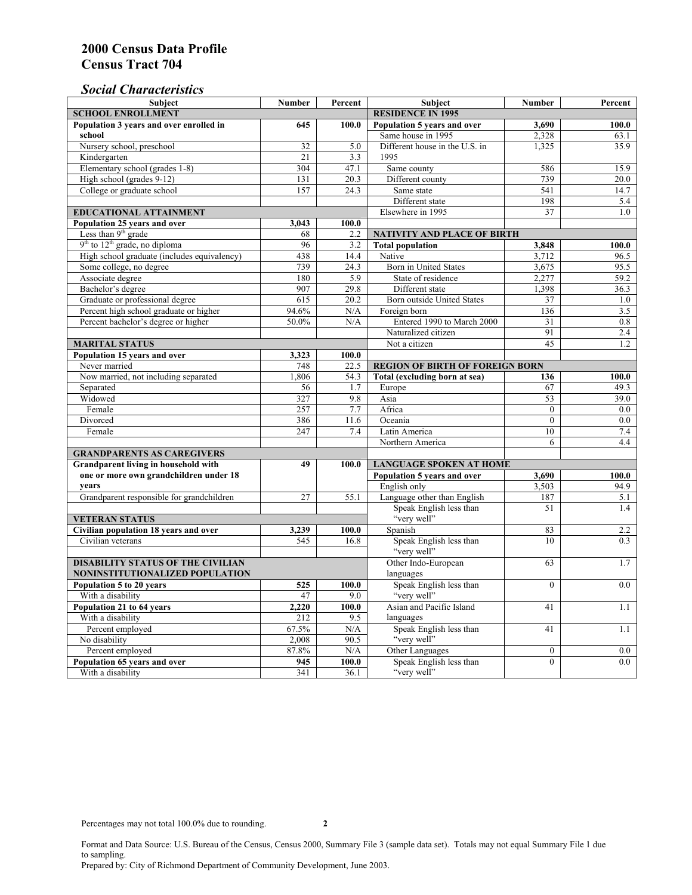### *Social Characteristics*

| <b>Subject</b>                                  | <b>Number</b>            | Percent | Subject                                                                         | Number         | Percent          |
|-------------------------------------------------|--------------------------|---------|---------------------------------------------------------------------------------|----------------|------------------|
| <b>SCHOOL ENROLLMENT</b>                        | <b>RESIDENCE IN 1995</b> |         |                                                                                 |                |                  |
| Population 3 years and over enrolled in         | 645                      | 100.0   | Population 5 years and over                                                     | 3,690          | 100.0            |
| school                                          |                          |         | Same house in 1995                                                              | 2,328          | 63.1             |
| Nursery school, preschool                       | 32                       | 5.0     | Different house in the U.S. in                                                  | 1,325          | 35.9             |
| Kindergarten                                    | 21                       | 3.3     | 1995                                                                            |                |                  |
| Elementary school (grades 1-8)                  | 304                      | 47.1    | Same county                                                                     | 586            | 15.9             |
| High school (grades 9-12)                       | 131                      | 20.3    | Different county                                                                | 739            | 20.0             |
| College or graduate school                      | 157                      | 24.3    | Same state                                                                      | 541            | 14.7             |
|                                                 |                          |         | Different state                                                                 | 198            | 5.4              |
| <b>EDUCATIONAL ATTAINMENT</b>                   |                          |         | Elsewhere in 1995                                                               | 37             | 1.0              |
| Population 25 years and over                    | 3,043                    | 100.0   |                                                                                 |                |                  |
| Less than 9 <sup>th</sup> grade                 | 68                       | 2.2     | NATIVITY AND PLACE OF BIRTH                                                     |                |                  |
| $9th$ to $12th$ grade, no diploma               | 96                       | 3.2     | <b>Total population</b>                                                         | 3,848          | 100.0            |
| High school graduate (includes equivalency)     | 438                      | 14.4    | Native                                                                          | 3.712          | 96.5             |
| Some college, no degree                         | 739                      | 24.3    | Born in United States                                                           | 3,675          | 95.5             |
| Associate degree                                | 180                      | 5.9     | State of residence                                                              | 2,277          | 59.2             |
| Bachelor's degree                               | 907                      | 29.8    | Different state                                                                 | 1,398          | 36.3             |
| Graduate or professional degree                 | $\overline{615}$         | 20.2    | Born outside United States                                                      | 37             | 1.0              |
| Percent high school graduate or higher          | 94.6%                    | N/A     | Foreign born                                                                    | 136            | 3.5              |
| Percent bachelor's degree or higher             | 50.0%                    | N/A     | Entered 1990 to March 2000                                                      | 31             | 0.8              |
|                                                 |                          |         | Naturalized citizen                                                             | 91             | $\overline{2.4}$ |
| <b>MARITAL STATUS</b>                           | Not a citizen            | 45      | 1.2                                                                             |                |                  |
| Population 15 years and over                    | 3,323                    | 100.0   |                                                                                 |                |                  |
| Never married                                   | 748                      | 22.5    | <b>REGION OF BIRTH OF FOREIGN BORN</b>                                          |                |                  |
| Now married, not including separated            | 1,806                    | 54.3    | Total (excluding born at sea)                                                   | 136            | 100.0            |
| Separated                                       | 56                       | 1.7     | Europe                                                                          | 67             | 49.3             |
| Widowed                                         | 327                      | 9.8     | Asia                                                                            | 53             | 39.0             |
| Female                                          | 257                      | 7.7     | Africa                                                                          | $\Omega$       | $0.0\,$          |
| Divorced                                        | 386                      | 11.6    | Oceania                                                                         | $\theta$       | 0.0              |
| Female                                          | 247                      | 7.4     | Latin America                                                                   | 10             | 7.4<br>4.4       |
|                                                 |                          |         | Northern America                                                                | 6              |                  |
| <b>GRANDPARENTS AS CAREGIVERS</b>               |                          |         |                                                                                 |                |                  |
| Grandparent living in household with            | 49                       | 100.0   | <b>LANGUAGE SPOKEN AT HOME</b><br>Population 5 years and over<br>3,690<br>100.0 |                |                  |
| one or more own grandchildren under 18<br>vears |                          |         | English only                                                                    |                | 94.9             |
| Grandparent responsible for grandchildren       | 27                       | 55.1    | Language other than English                                                     | 3,503<br>187   | 5.1              |
|                                                 |                          |         | Speak English less than                                                         | 51             | 1.4              |
| <b>VETERAN STATUS</b>                           |                          |         | "very well"                                                                     |                |                  |
| Civilian population 18 years and over           | 3,239                    | 100.0   | Spanish                                                                         | 83             | 2.2              |
| Civilian veterans                               | 545                      | 16.8    | Speak English less than                                                         | 10             | 0.3              |
|                                                 |                          |         | "very well"                                                                     |                |                  |
| <b>DISABILITY STATUS OF THE CIVILIAN</b>        | Other Indo-European      | 63      | 1.7                                                                             |                |                  |
| NONINSTITUTIONALIZED POPULATION                 | languages                |         |                                                                                 |                |                  |
| Population 5 to 20 years                        | 525                      | 100.0   | Speak English less than                                                         | $\theta$       | 0.0              |
| With a disability                               | 47                       | 9.0     | "very well"                                                                     |                |                  |
| Population 21 to 64 years                       | 2.220                    | 100.0   | Asian and Pacific Island                                                        | 41             | 1.1              |
| With a disability                               | 212                      | 9.5     | languages                                                                       |                |                  |
| Percent employed                                | 67.5%                    | N/A     | Speak English less than                                                         | 41             | 1.1              |
| No disability                                   | 2,008                    | 90.5    | "very well"                                                                     |                |                  |
| Percent employed                                | 87.8%                    | N/A     | Other Languages                                                                 | $\mathbf{0}$   | $0.0\,$          |
| Population 65 years and over                    | 945                      | 100.0   | Speak English less than                                                         | $\overline{0}$ | 0.0              |
| With a disability                               | 341                      | 36.1    | "very well"                                                                     |                |                  |

Format and Data Source: U.S. Bureau of the Census, Census 2000, Summary File 3 (sample data set). Totals may not equal Summary File 1 due to sampling. Prepared by: City of Richmond Department of Community Development, June 2003.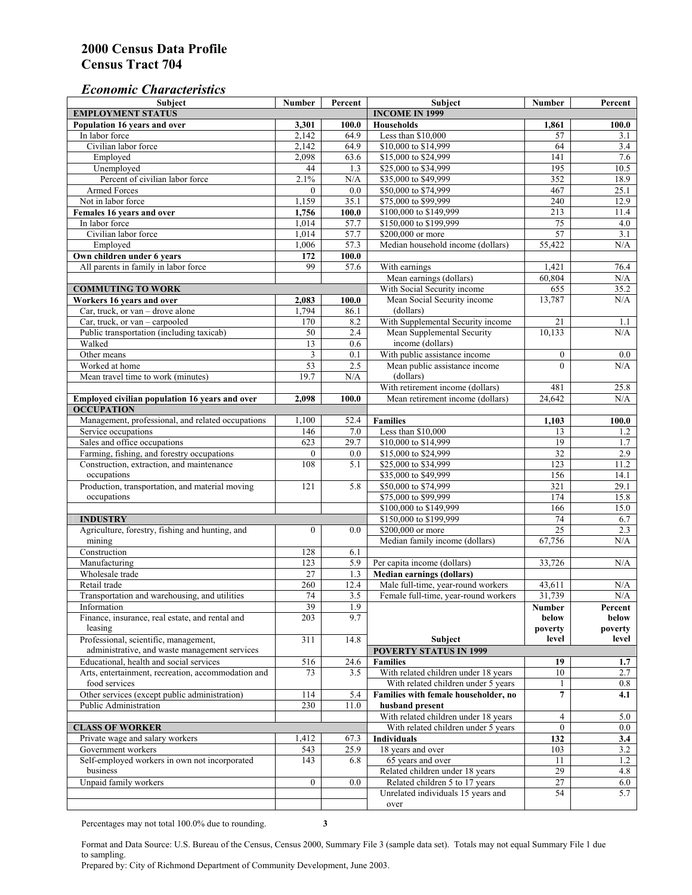#### *Economic Characteristics*

| <b>Subject</b>                                     | Number          | Percent | Subject                                        | Number           | Percent    |
|----------------------------------------------------|-----------------|---------|------------------------------------------------|------------------|------------|
| <b>EMPLOYMENT STATUS</b><br><b>INCOME IN 1999</b>  |                 |         |                                                |                  |            |
| Population 16 years and over                       | 3,301           | 100.0   | <b>Households</b>                              | 1,861            | 100.0      |
| In labor force                                     | 2,142           | 64.9    | Less than \$10,000                             | 57               | 3.1        |
| Civilian labor force                               | 2,142           | 64.9    | \$10,000 to \$14,999                           | 64               | 3.4        |
| Employed                                           | 2,098           | 63.6    | \$15,000 to \$24,999                           | 141              | 7.6        |
| Unemployed                                         | 44              | 1.3     | \$25,000 to \$34,999                           | 195              | 10.5       |
| Percent of civilian labor force                    | 2.1%            | N/A     | \$35,000 to \$49,999                           | 352              | 18.9       |
| Armed Forces                                       | $\mathbf{0}$    | 0.0     | \$50,000 to \$74,999                           | 467              | 25.1       |
| Not in labor force                                 | 1,159           | 35.1    | \$75,000 to \$99,999                           | 240              | 12.9       |
| Females 16 years and over                          | 1,756           | 100.0   | \$100,000 to \$149,999                         | 213              | 11.4       |
| In labor force                                     | 1,014           | 57.7    | \$150,000 to \$199,999                         | 75               | 4.0        |
| Civilian labor force                               | 1,014           | 57.7    | \$200,000 or more                              | 57               | 3.1        |
| Employed                                           | 1,006           | 57.3    | Median household income (dollars)              | 55,422           | N/A        |
| Own children under 6 years                         | 172             | 100.0   |                                                |                  |            |
| All parents in family in labor force               | 99              | 57.6    | With earnings                                  | 1,421            | 76.4       |
|                                                    |                 |         | Mean earnings (dollars)                        | 60,804           | N/A        |
| <b>COMMUTING TO WORK</b>                           |                 |         | With Social Security income                    | 655              | 35.2       |
| Workers 16 years and over                          | 2,083           | 100.0   | Mean Social Security income                    | 13,787           | N/A        |
| Car, truck, or van – drove alone                   | 1,794           | 86.1    | (dollars)                                      |                  |            |
| Car, truck, or van - carpooled                     | 170             | 8.2     | With Supplemental Security income              | 21               |            |
| Public transportation (including taxicab)          | 50              | 2.4     |                                                | 10,133           | 1.1<br>N/A |
|                                                    |                 |         | Mean Supplemental Security<br>income (dollars) |                  |            |
| Walked                                             | 13              | 0.6     |                                                |                  |            |
| Other means                                        | 3               | 0.1     | With public assistance income                  | $\boldsymbol{0}$ | $0.0\,$    |
| Worked at home                                     | $\overline{53}$ | 2.5     | Mean public assistance income                  | $\theta$         | N/A        |
| Mean travel time to work (minutes)                 | 19.7            | N/A     | (dollars)                                      |                  |            |
|                                                    |                 |         | With retirement income (dollars)               | 481              | 25.8       |
| Employed civilian population 16 years and over     | 2,098           | 100.0   | Mean retirement income (dollars)               | 24,642           | N/A        |
| <b>OCCUPATION</b>                                  |                 |         |                                                |                  |            |
| Management, professional, and related occupations  | 1,100           | 52.4    | <b>Families</b>                                | 1,103            | 100.0      |
| Service occupations                                | 146             | 7.0     | Less than \$10,000                             | 13               | 1.2        |
| Sales and office occupations                       | 623             | 29.7    | \$10,000 to \$14,999                           | 19               | 1.7        |
| Farming, fishing, and forestry occupations         | $\mathbf{0}$    | 0.0     | \$15,000 to \$24,999                           | $\overline{32}$  | 2.9        |
| Construction, extraction, and maintenance          | 108             | 5.1     | \$25,000 to \$34,999                           | 123              | 11.2       |
| occupations                                        |                 |         | \$35,000 to \$49,999                           | 156              | 14.1       |
| Production, transportation, and material moving    | 121             | 5.8     | \$50,000 to \$74,999                           | 321              | 29.1       |
| occupations                                        |                 |         | \$75,000 to \$99,999                           | 174              | 15.8       |
|                                                    |                 |         | \$100,000 to \$149,999                         | 166              | 15.0       |
| <b>INDUSTRY</b>                                    |                 |         | \$150,000 to \$199,999                         | 74               | 6.7        |
| Agriculture, forestry, fishing and hunting, and    | $\mathbf{0}$    | 0.0     | \$200,000 or more                              | 25               | 2.3        |
| mining                                             |                 |         | Median family income (dollars)                 | 67,756           | N/A        |
| Construction                                       | 128             | 6.1     |                                                |                  |            |
| Manufacturing                                      | 123             | 5.9     | Per capita income (dollars)                    | 33,726           | N/A        |
| Wholesale trade                                    | 27              | 1.3     | <b>Median earnings (dollars)</b>               |                  |            |
| Retail trade                                       | 260             | 12.4    | Male full-time, year-round workers             | 43,611           | N/A        |
| Transportation and warehousing, and utilities      | 74              | 3.5     | Female full-time, year-round workers           | 31,739           | N/A        |
| Information                                        | 39              | 1.9     |                                                | Number           | Percent    |
| Finance, insurance, real estate, and rental and    | 203             | 9.7     |                                                | below            | below      |
| leasing                                            |                 |         |                                                | poverty          | poverty    |
| Professional, scientific, management,              | 311             | 14.8    | Subject                                        | level            | level      |
| administrative, and waste management services      |                 |         | <b>POVERTY STATUS IN 1999</b>                  |                  |            |
|                                                    |                 |         |                                                |                  |            |
| Educational, health and social services            | 516             | 24.6    | <b>Families</b>                                | 19               | 1.7        |
| Arts, entertainment, recreation, accommodation and | 73              | 3.5     | With related children under 18 years           | 10               | 2.7        |
| food services                                      |                 |         | With related children under 5 years            | 1                | 0.8        |
| Other services (except public administration)      | 114             | 5.4     | Families with female householder, no           | $\overline{7}$   | 4.1        |
| Public Administration                              | 230             | 11.0    | husband present                                |                  |            |
|                                                    |                 |         | With related children under 18 years           | 4                | 5.0        |
| <b>CLASS OF WORKER</b>                             |                 |         | With related children under 5 years            | $\mathbf{0}$     | 0.0        |
| Private wage and salary workers                    | 1,412           | 67.3    | Individuals                                    | 132              | 3.4        |
| Government workers                                 | 543             | 25.9    | 18 years and over                              | 103              | 3.2        |
| Self-employed workers in own not incorporated      | 143             | 6.8     | 65 years and over                              | 11               | 1.2        |
| business                                           |                 |         | Related children under 18 years                | 29               | 4.8        |
| Unpaid family workers                              | $\mathbf{0}$    | 0.0     | Related children 5 to 17 years                 | 27               | 6.0        |
|                                                    |                 |         | Unrelated individuals 15 years and             | 54               | 5.7        |
|                                                    |                 |         | over                                           |                  |            |

Percentages may not total 100.0% due to rounding. **3** 

Format and Data Source: U.S. Bureau of the Census, Census 2000, Summary File 3 (sample data set). Totals may not equal Summary File 1 due to sampling.

Prepared by: City of Richmond Department of Community Development, June 2003.